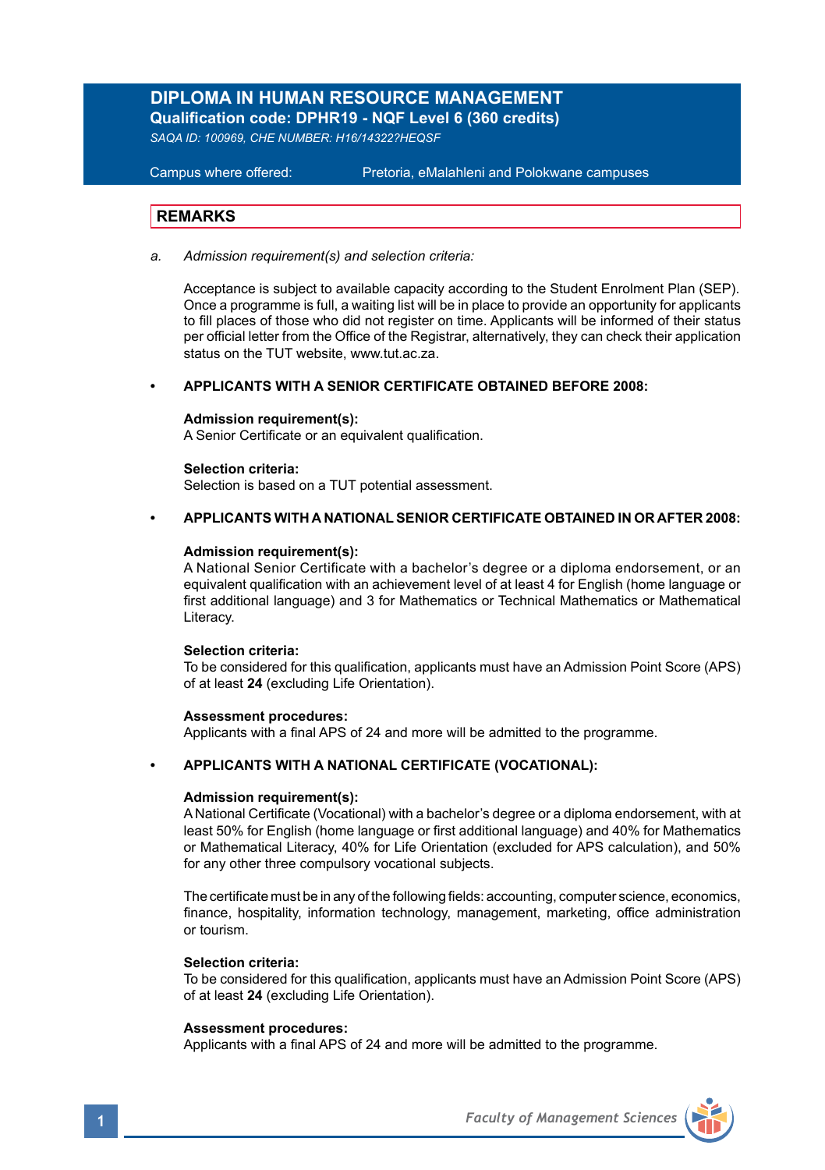# **DIPLOMA IN HUMAN RESOURCE MANAGEMENT**

**Qualification code: DPHR19 - NQF Level 6 (360 credits)** 

*SAQA ID: 100969, CHE NUMBER: H16/14322?HEQSF* 

## **Campus where offered:**

Pretoria, eMalahleni and Polokwane campuses

## **REMARKS**

*a. Admission requirement(s) and selection criteria:*

Acceptance is subject to available capacity according to the Student Enrolment Plan (SEP). Once a programme is full, a waiting list will be in place to provide an opportunity for applicants to fill places of those who did not register on time. Applicants will be informed of their status per official letter from the Office of the Registrar, alternatively, they can check their application status on the TUT website, www.tut.ac.za.

## **• APPLICANTS WITH A SENIOR CERTIFICATE OBTAINED BEFORE 2008:**

### **Admission requirement(s):**

A Senior Certificate or an equivalent qualification.

## **Selection criteria:**

Selection is based on a TUT potential assessment.

## **• APPLICANTS WITH A NATIONAL SENIOR CERTIFICATE OBTAINED IN OR AFTER 2008:**

## **Admission requirement(s):**

A National Senior Certificate with a bachelor's degree or a diploma endorsement, or an equivalent qualification with an achievement level of at least 4 for English (home language or first additional language) and 3 for Mathematics or Technical Mathematics or Mathematical Literacy.

### **Selection criteria:**

To be considered for this qualification, applicants must have an Admission Point Score (APS) of at least **24** (excluding Life Orientation).

### **Assessment procedures:**

Applicants with a final APS of 24 and more will be admitted to the programme.

## **• APPLICANTS WITH A NATIONAL CERTIFICATE (VOCATIONAL):**

## **Admission requirement(s):**

A National Certificate (Vocational) with a bachelor's degree or a diploma endorsement, with at least 50% for English (home language or first additional language) and 40% for Mathematics or Mathematical Literacy, 40% for Life Orientation (excluded for APS calculation), and 50% for any other three compulsory vocational subjects.

The certificate must be in any of the following fields: accounting, computer science, economics, finance, hospitality, information technology, management, marketing, office administration or tourism.

## **Selection criteria:**

To be considered for this qualification, applicants must have an Admission Point Score (APS) of at least **24** (excluding Life Orientation).

### **Assessment procedures:**

Applicants with a final APS of 24 and more will be admitted to the programme.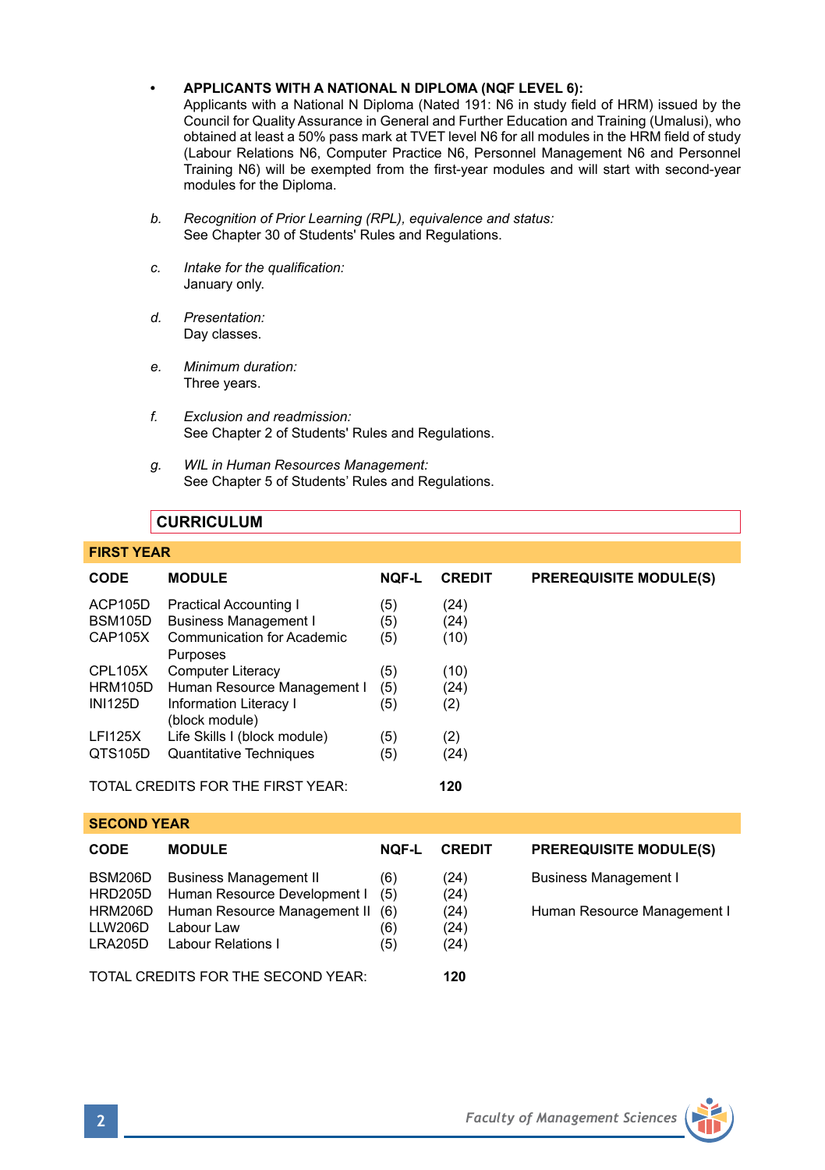## **• APPLICANTS WITH A NATIONAL N DIPLOMA (NQF LEVEL 6):**

Applicants with a National N Diploma (Nated 191: N6 in study field of HRM) issued by the Council for Quality Assurance in General and Further Education and Training (Umalusi), who obtained at least a 50% pass mark at TVET level N6 for all modules in the HRM field of study (Labour Relations N6, Computer Practice N6, Personnel Management N6 and Personnel Training N6) will be exempted from the first-year modules and will start with second-year modules for the Diploma.

- *b. Recognition of Prior Learning (RPL), equivalence and status:* See Chapter 30 of Students' Rules and Regulations.
- *c. Intake for the qualification:* January only.
- *d. Presentation:* Day classes.
- *e. Minimum duration:* Three years.
- *f. Exclusion and readmission:* See Chapter 2 of Students' Rules and Regulations.
- *g. WIL in Human Resources Management:* See Chapter 5 of Students' Rules and Regulations.

# **CURRICULUM**

## **FIRST YEAR**

**SECOND YEAR** 

| <b>CODE</b>    | <b>MODULE</b>                                   | <b>NOF-L</b> | <b>CREDIT</b> | <b>PREREQUISITE MODULE(S)</b> |
|----------------|-------------------------------------------------|--------------|---------------|-------------------------------|
| ACP105D        | <b>Practical Accounting I</b>                   | (5)          | (24)          |                               |
| <b>BSM105D</b> | <b>Business Management I</b>                    | (5)          | (24)          |                               |
| CAP105X        | Communication for Academic<br>Purposes          | (5)          | (10)          |                               |
| CPL105X        | <b>Computer Literacy</b>                        | (5)          | (10)          |                               |
| HRM105D        | Human Resource Management I                     | (5)          | (24)          |                               |
| <b>INI125D</b> | <b>Information Literacy I</b><br>(block module) | (5)          | (2)           |                               |
| <b>LFI125X</b> | Life Skills I (block module)                    | (5)          | (2)           |                               |
| QTS105D        | <b>Quantitative Techniques</b>                  | (5)          | (24)          |                               |
|                | TOTAL CREDITS FOR THE FIRST YEAR:               |              | 120           |                               |

| <b>CODE</b>                   | <b>MODULE</b>                                                         | <b>NOF-L</b> | <b>CREDIT</b>        | <b>PREREQUISITE MODULE(S)</b> |  |  |  |
|-------------------------------|-----------------------------------------------------------------------|--------------|----------------------|-------------------------------|--|--|--|
| BSM206D                       | <b>Business Management II</b><br>HRD205D Human Resource Development I | (6)<br>(5)   | (24)<br>(24)         | <b>Business Management I</b>  |  |  |  |
| HRM206D<br>LLW206D<br>LRA205D | Human Resource Management II (6)<br>Labour Law<br>Labour Relations I  | (6)<br>(5)   | (24)<br>(24)<br>(24) | Human Resource Management I   |  |  |  |
|                               | TOTAL CREDITS FOR THE SECOND YEAR:                                    | 120          |                      |                               |  |  |  |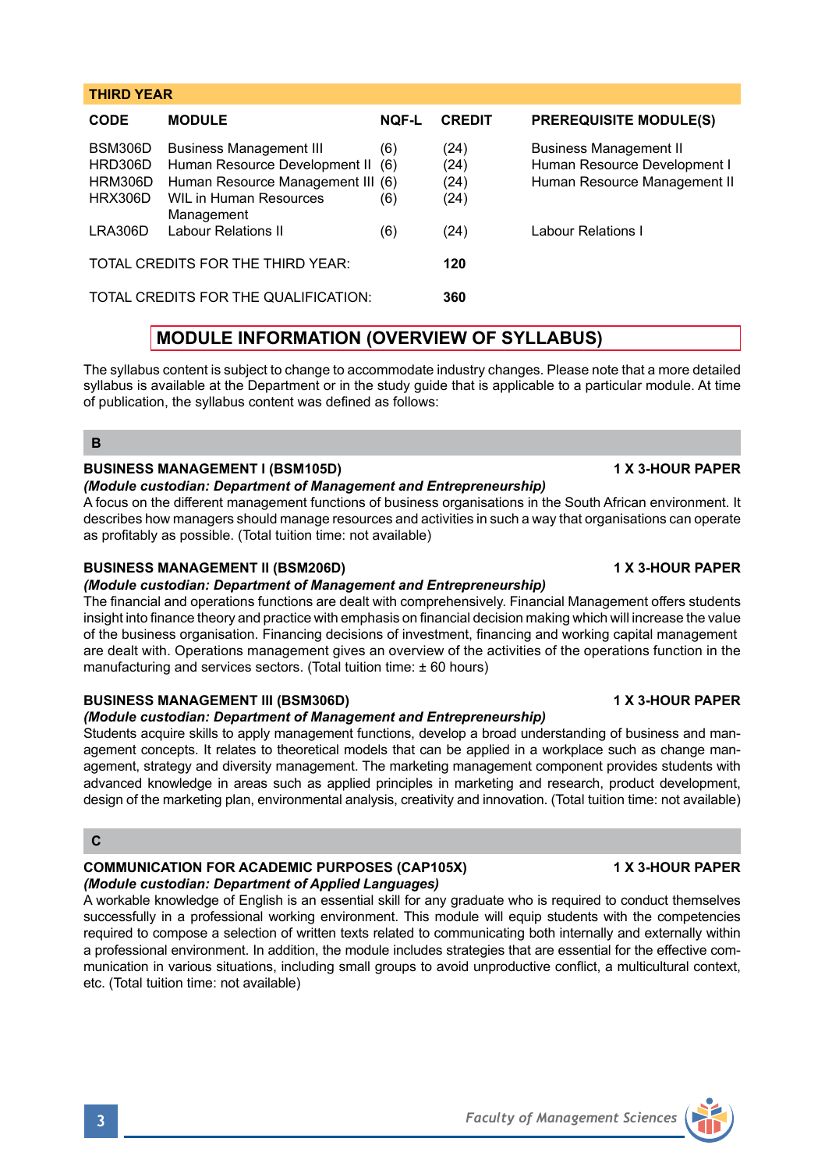# **THIRD YEAR CODE MODULE NQF-L CREDIT PREREQUISITE MODULE(S)** BSM306D Business Management III (6) (24) Business Management II<br>HRD306D Human Resource Development II (6) (24) Human Resource Development I HRD306D Human Resource Development II (6)

|         | HRM306D Human Resource Management III (6) |     | (24) | Human Resource Management II |
|---------|-------------------------------------------|-----|------|------------------------------|
|         | HRX306D WIL in Human Resources            | (6) | (24) |                              |
| LRA306D | Management<br>Labour Relations II         |     | (24) | Labour Relations I           |
|         |                                           | (6) |      |                              |
|         | TOTAL CREDITS FOR THE THIRD YEAR:         |     | 120  |                              |
|         | TOTAL CREDITS FOR THE QUALIFICATION:      |     | 360  |                              |

# **MODULE INFORMATION (OVERVIEW OF SYLLABUS)**

The syllabus content is subject to change to accommodate industry changes. Please note that a more detailed syllabus is available at the Department or in the study guide that is applicable to a particular module. At time of publication, the syllabus content was defined as follows:

**B**

# **BUSINESS MANAGEMENT I (BSM105D) 1 X 3-HOUR PAPER**

## *(Module custodian: Department of Management and Entrepreneurship)*

A focus on the different management functions of business organisations in the South African environment. It describes how managers should manage resources and activities in such a way that organisations can operate as profitably as possible. (Total tuition time: not available)

## **BUSINESS MANAGEMENT II (BSM206D) 1 X 3-HOUR PAPER**

## *(Module custodian: Department of Management and Entrepreneurship)*

The financial and operations functions are dealt with comprehensively. Financial Management offers students insight into finance theory and practice with emphasis on financial decision making which will increase the value of the business organisation. Financing decisions of investment, financing and working capital management are dealt with. Operations management gives an overview of the activities of the operations function in the manufacturing and services sectors. (Total tuition time: ± 60 hours)

# **BUSINESS MANAGEMENT III (BSM306D) 1 X 3-HOUR PAPER**

## *(Module custodian: Department of Management and Entrepreneurship)*

Students acquire skills to apply management functions, develop a broad understanding of business and management concepts. It relates to theoretical models that can be applied in a workplace such as change management, strategy and diversity management. The marketing management component provides students with advanced knowledge in areas such as applied principles in marketing and research, product development, design of the marketing plan, environmental analysis, creativity and innovation. (Total tuition time: not available)

## **C**

# **COMMUNICATION FOR ACADEMIC PURPOSES (CAP105X) 1 X 3-HOUR PAPER** *(Module custodian: Department of Applied Languages)*

A workable knowledge of English is an essential skill for any graduate who is required to conduct themselves successfully in a professional working environment. This module will equip students with the competencies required to compose a selection of written texts related to communicating both internally and externally within a professional environment. In addition, the module includes strategies that are essential for the effective communication in various situations, including small groups to avoid unproductive conflict, a multicultural context, etc. (Total tuition time: not available)

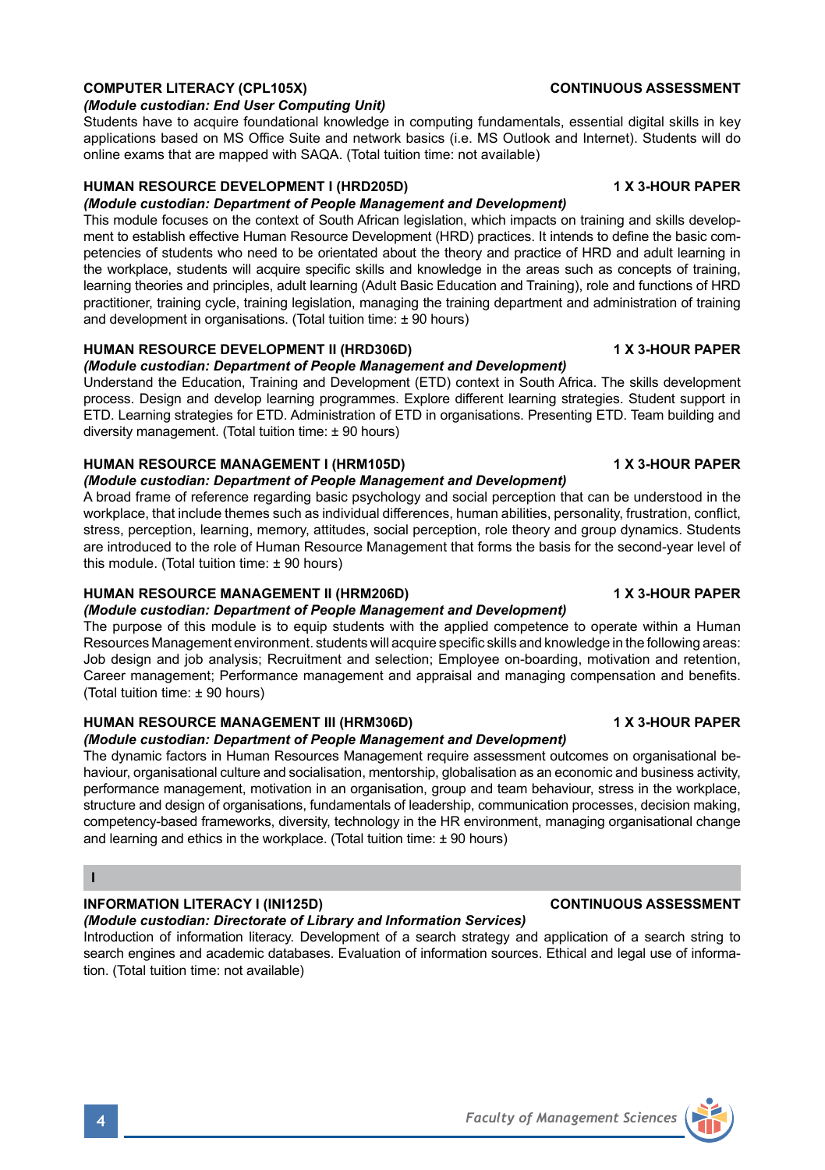## **COMPUTER LITERACY (CPL105X)** CONTINUOUS ASSESSMENT

## *(Module custodian: End User Computing Unit)*

Students have to acquire foundational knowledge in computing fundamentals, essential digital skills in key applications based on MS Office Suite and network basics (i.e. MS Outlook and Internet). Students will do online exams that are mapped with SAQA. (Total tuition time: not available)

## **HUMAN RESOURCE DEVELOPMENT I (HRD205D) 1 X 3-HOUR PAPER**

## *(Module custodian: Department of People Management and Development)*

This module focuses on the context of South African legislation, which impacts on training and skills development to establish effective Human Resource Development (HRD) practices. It intends to define the basic competencies of students who need to be orientated about the theory and practice of HRD and adult learning in the workplace, students will acquire specific skills and knowledge in the areas such as concepts of training, learning theories and principles, adult learning (Adult Basic Education and Training), role and functions of HRD practitioner, training cycle, training legislation, managing the training department and administration of training and development in organisations. (Total tuition time: ± 90 hours)

# **HUMAN RESOURCE DEVELOPMENT II (HRD306D) 1 X 3-HOUR PAPER**

# *(Module custodian: Department of People Management and Development)*

Understand the Education, Training and Development (ETD) context in South Africa. The skills development process. Design and develop learning programmes. Explore different learning strategies. Student support in ETD. Learning strategies for ETD. Administration of ETD in organisations. Presenting ETD. Team building and diversity management. (Total tuition time: ± 90 hours)

# **HUMAN RESOURCE MANAGEMENT I (HRM105D) 1 X 3-HOUR PAPER**

# *(Module custodian: Department of People Management and Development)*

A broad frame of reference regarding basic psychology and social perception that can be understood in the workplace, that include themes such as individual differences, human abilities, personality, frustration, conflict, stress, perception, learning, memory, attitudes, social perception, role theory and group dynamics. Students are introduced to the role of Human Resource Management that forms the basis for the second-year level of this module. (Total tuition time: ± 90 hours)

# **HUMAN RESOURCE MANAGEMENT II (HRM206D) 1 X 3-HOUR PAPER**

# *(Module custodian: Department of People Management and Development)*

The purpose of this module is to equip students with the applied competence to operate within a Human Resources Management environment. students will acquire specific skills and knowledge in the following areas: Job design and job analysis; Recruitment and selection; Employee on-boarding, motivation and retention, Career management; Performance management and appraisal and managing compensation and benefits. (Total tuition time: ± 90 hours)

# **HUMAN RESOURCE MANAGEMENT III (HRM306D) 1 X 3-HOUR PAPER**

# *(Module custodian: Department of People Management and Development)*

The dynamic factors in Human Resources Management require assessment outcomes on organisational behaviour, organisational culture and socialisation, mentorship, globalisation as an economic and business activity, performance management, motivation in an organisation, group and team behaviour, stress in the workplace, structure and design of organisations, fundamentals of leadership, communication processes, decision making, competency-based frameworks, diversity, technology in the HR environment, managing organisational change and learning and ethics in the workplace. (Total tuition time:  $\pm$  90 hours)

## **I**

# **INFORMATION LITERACY I (INI125D) CONTINUOUS ASSESSMENT**

# *(Module custodian: Directorate of Library and Information Services)*

Introduction of information literacy. Development of a search strategy and application of a search string to search engines and academic databases. Evaluation of information sources. Ethical and legal use of information. (Total tuition time: not available)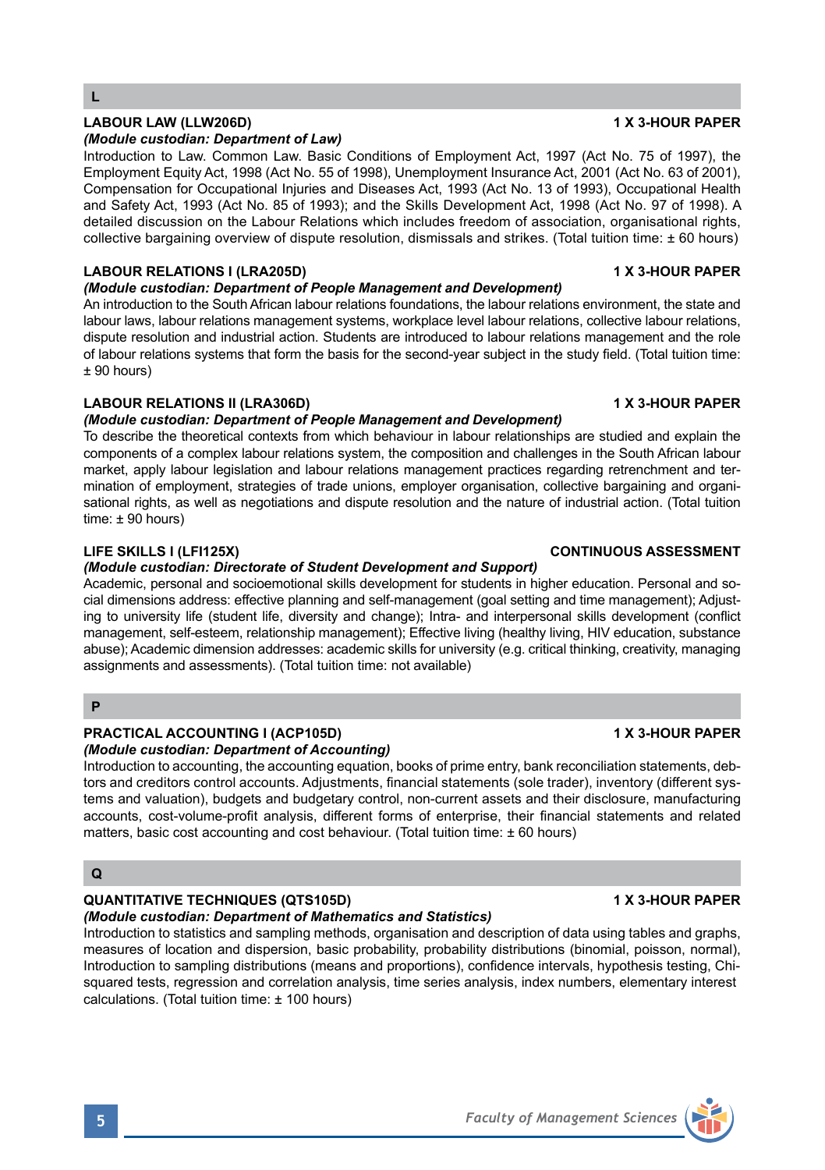## **LABOUR LAW (LLW206D) 1 X 3-HOUR PAPER** *(Module custodian: Department of Law)*

Introduction to Law. Common Law. Basic Conditions of Employment Act, 1997 (Act No. 75 of 1997), the Employment Equity Act, 1998 (Act No. 55 of 1998), Unemployment Insurance Act, 2001 (Act No. 63 of 2001), Compensation for Occupational Injuries and Diseases Act, 1993 (Act No. 13 of 1993), Occupational Health and Safety Act, 1993 (Act No. 85 of 1993); and the Skills Development Act, 1998 (Act No. 97 of 1998). A detailed discussion on the Labour Relations which includes freedom of association, organisational rights, collective bargaining overview of dispute resolution, dismissals and strikes. (Total tuition time: ± 60 hours)

## **LABOUR RELATIONS I (LRA205D) 1 X 3-HOUR PAPER**

## *(Module custodian: Department of People Management and Development)*

An introduction to the South African labour relations foundations, the labour relations environment, the state and labour laws, labour relations management systems, workplace level labour relations, collective labour relations, dispute resolution and industrial action. Students are introduced to labour relations management and the role of labour relations systems that form the basis for the second-year subject in the study field. (Total tuition time: ± 90 hours)

## **LABOUR RELATIONS II (LRA306D)** 1 X 3-HOUR PAPER

## *(Module custodian: Department of People Management and Development)*

To describe the theoretical contexts from which behaviour in labour relationships are studied and explain the components of a complex labour relations system, the composition and challenges in the South African labour market, apply labour legislation and labour relations management practices regarding retrenchment and termination of employment, strategies of trade unions, employer organisation, collective bargaining and organisational rights, as well as negotiations and dispute resolution and the nature of industrial action. (Total tuition time: ± 90 hours)

## *(Module custodian: Directorate of Student Development and Support)*

Academic, personal and socioemotional skills development for students in higher education. Personal and social dimensions address: effective planning and self-management (goal setting and time management); Adjusting to university life (student life, diversity and change); Intra- and interpersonal skills development (conflict management, self-esteem, relationship management); Effective living (healthy living, HIV education, substance abuse); Academic dimension addresses: academic skills for university (e.g. critical thinking, creativity, managing assignments and assessments). (Total tuition time: not available)

## **P**

## **PRACTICAL ACCOUNTING I (ACP105D) 1 X 3-HOUR PAPER** *(Module custodian: Department of Accounting)*

Introduction to accounting, the accounting equation, books of prime entry, bank reconciliation statements, debtors and creditors control accounts. Adjustments, financial statements (sole trader), inventory (different systems and valuation), budgets and budgetary control, non-current assets and their disclosure, manufacturing accounts, cost-volume-profit analysis, different forms of enterprise, their financial statements and related matters, basic cost accounting and cost behaviour. (Total tuition time:  $\pm 60$  hours)

# **Q**

## **QUANTITATIVE TECHNIQUES (QTS105D) 1 X 3-HOUR PAPER**

## *(Module custodian: Department of Mathematics and Statistics)*

Introduction to statistics and sampling methods, organisation and description of data using tables and graphs, measures of location and dispersion, basic probability, probability distributions (binomial, poisson, normal), Introduction to sampling distributions (means and proportions), confidence intervals, hypothesis testing, Chisquared tests, regression and correlation analysis, time series analysis, index numbers, elementary interest calculations. (Total tuition time: ± 100 hours)

## **LIFE SKILLS I (LFI125X) CONTINUOUS ASSESSMENT**